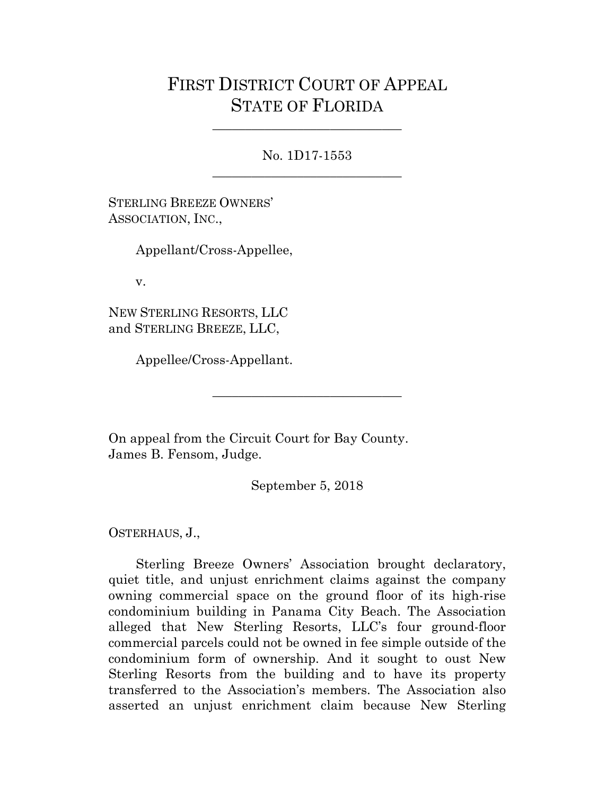## FIRST DISTRICT COURT OF APPEAL STATE OF FLORIDA

No. 1D17-1553 \_\_\_\_\_\_\_\_\_\_\_\_\_\_\_\_\_\_\_\_\_\_\_\_\_\_\_\_\_

\_\_\_\_\_\_\_\_\_\_\_\_\_\_\_\_\_\_\_\_\_\_\_\_\_\_\_\_\_

STERLING BREEZE OWNERS' ASSOCIATION, INC.,

Appellant/Cross-Appellee,

v.

NEW STERLING RESORTS, LLC and STERLING BREEZE, LLC,

Appellee/Cross-Appellant.

On appeal from the Circuit Court for Bay County. James B. Fensom, Judge.

September 5, 2018

\_\_\_\_\_\_\_\_\_\_\_\_\_\_\_\_\_\_\_\_\_\_\_\_\_\_\_\_\_

OSTERHAUS, J.,

Sterling Breeze Owners' Association brought declaratory, quiet title, and unjust enrichment claims against the company owning commercial space on the ground floor of its high-rise condominium building in Panama City Beach. The Association alleged that New Sterling Resorts, LLC's four ground-floor commercial parcels could not be owned in fee simple outside of the condominium form of ownership. And it sought to oust New Sterling Resorts from the building and to have its property transferred to the Association's members. The Association also asserted an unjust enrichment claim because New Sterling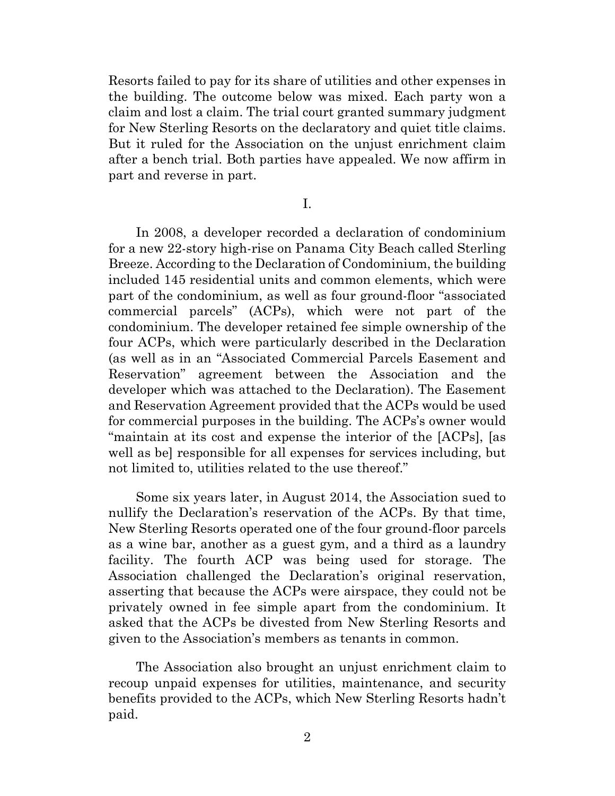Resorts failed to pay for its share of utilities and other expenses in the building. The outcome below was mixed. Each party won a claim and lost a claim. The trial court granted summary judgment for New Sterling Resorts on the declaratory and quiet title claims. But it ruled for the Association on the unjust enrichment claim after a bench trial. Both parties have appealed. We now affirm in part and reverse in part.

I.

In 2008, a developer recorded a declaration of condominium for a new 22-story high-rise on Panama City Beach called Sterling Breeze. According to the Declaration of Condominium, the building included 145 residential units and common elements, which were part of the condominium, as well as four ground-floor "associated commercial parcels" (ACPs), which were not part of the condominium. The developer retained fee simple ownership of the four ACPs, which were particularly described in the Declaration (as well as in an "Associated Commercial Parcels Easement and Reservation" agreement between the Association and the developer which was attached to the Declaration). The Easement and Reservation Agreement provided that the ACPs would be used for commercial purposes in the building. The ACPs's owner would "maintain at its cost and expense the interior of the [ACPs], [as well as be] responsible for all expenses for services including, but not limited to, utilities related to the use thereof."

Some six years later, in August 2014, the Association sued to nullify the Declaration's reservation of the ACPs. By that time, New Sterling Resorts operated one of the four ground-floor parcels as a wine bar, another as a guest gym, and a third as a laundry facility. The fourth ACP was being used for storage. The Association challenged the Declaration's original reservation, asserting that because the ACPs were airspace, they could not be privately owned in fee simple apart from the condominium. It asked that the ACPs be divested from New Sterling Resorts and given to the Association's members as tenants in common.

The Association also brought an unjust enrichment claim to recoup unpaid expenses for utilities, maintenance, and security benefits provided to the ACPs, which New Sterling Resorts hadn't paid.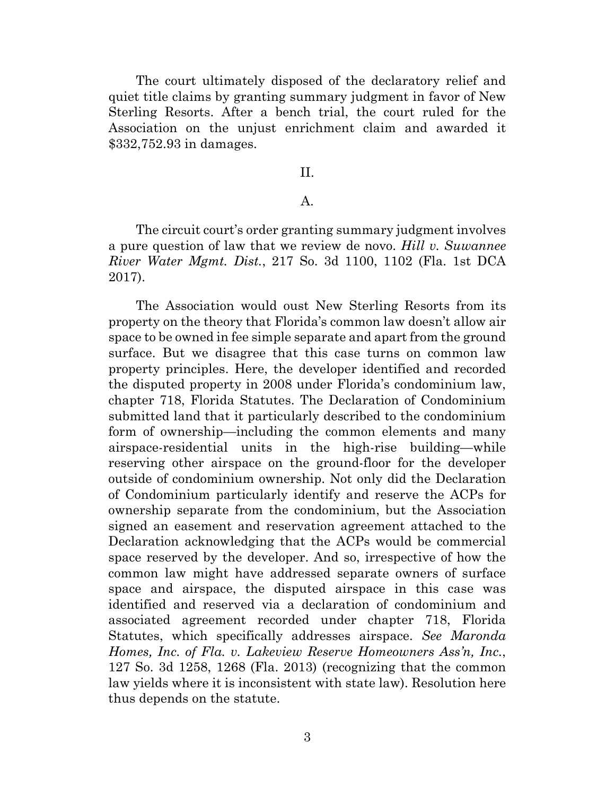The court ultimately disposed of the declaratory relief and quiet title claims by granting summary judgment in favor of New Sterling Resorts. After a bench trial, the court ruled for the Association on the unjust enrichment claim and awarded it \$332,752.93 in damages.

## II.

## A.

The circuit court's order granting summary judgment involves a pure question of law that we review de novo. *Hill v. Suwannee River Water Mgmt. Dist.*, 217 So. 3d 1100, 1102 (Fla. 1st DCA 2017).

The Association would oust New Sterling Resorts from its property on the theory that Florida's common law doesn't allow air space to be owned in fee simple separate and apart from the ground surface. But we disagree that this case turns on common law property principles. Here, the developer identified and recorded the disputed property in 2008 under Florida's condominium law, chapter 718, Florida Statutes. The Declaration of Condominium submitted land that it particularly described to the condominium form of ownership—including the common elements and many airspace-residential units in the high-rise building—while reserving other airspace on the ground-floor for the developer outside of condominium ownership. Not only did the Declaration of Condominium particularly identify and reserve the ACPs for ownership separate from the condominium, but the Association signed an easement and reservation agreement attached to the Declaration acknowledging that the ACPs would be commercial space reserved by the developer. And so, irrespective of how the common law might have addressed separate owners of surface space and airspace, the disputed airspace in this case was identified and reserved via a declaration of condominium and associated agreement recorded under chapter 718, Florida Statutes, which specifically addresses airspace. *See Maronda Homes, Inc. of Fla. v. Lakeview Reserve Homeowners Ass'n, Inc.*, 127 So. 3d 1258, 1268 (Fla. 2013) (recognizing that the common law yields where it is inconsistent with state law). Resolution here thus depends on the statute.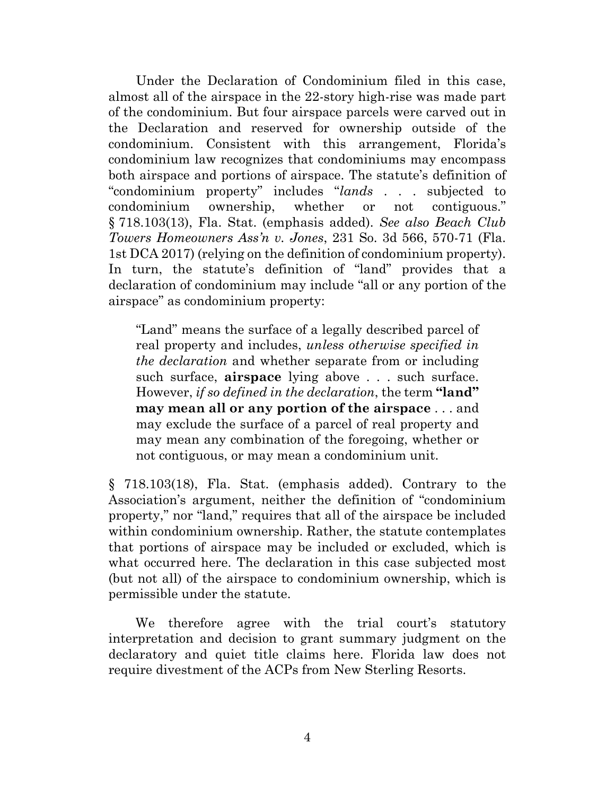Under the Declaration of Condominium filed in this case, almost all of the airspace in the 22-story high-rise was made part of the condominium. But four airspace parcels were carved out in the Declaration and reserved for ownership outside of the condominium. Consistent with this arrangement, Florida's condominium law recognizes that condominiums may encompass both airspace and portions of airspace. The statute's definition of "condominium property" includes "*lands* . . . subjected to condominium ownership, whether or not contiguous." § 718.103(13), Fla. Stat. (emphasis added). *See also Beach Club Towers Homeowners Ass'n v. Jones*, 231 So. 3d 566, 570-71 (Fla. 1st DCA 2017) (relying on the definition of condominium property). In turn, the statute's definition of "land" provides that a declaration of condominium may include "all or any portion of the airspace" as condominium property:

"Land" means the surface of a legally described parcel of real property and includes, *unless otherwise specified in the declaration* and whether separate from or including such surface, **airspace** lying above . . . such surface. However, *if so defined in the declaration*, the term **"land" may mean all or any portion of the airspace** . . . and may exclude the surface of a parcel of real property and may mean any combination of the foregoing, whether or not contiguous, or may mean a condominium unit.

§ 718.103(18), Fla. Stat. (emphasis added). Contrary to the Association's argument, neither the definition of "condominium property," nor "land," requires that all of the airspace be included within condominium ownership. Rather, the statute contemplates that portions of airspace may be included or excluded, which is what occurred here. The declaration in this case subjected most (but not all) of the airspace to condominium ownership, which is permissible under the statute.

We therefore agree with the trial court's statutory interpretation and decision to grant summary judgment on the declaratory and quiet title claims here. Florida law does not require divestment of the ACPs from New Sterling Resorts.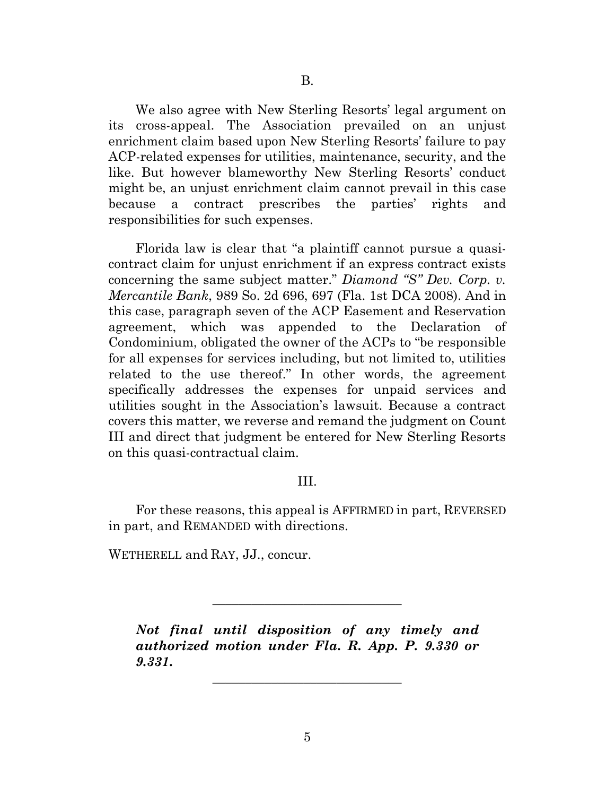We also agree with New Sterling Resorts' legal argument on its cross-appeal. The Association prevailed on an unjust enrichment claim based upon New Sterling Resorts' failure to pay ACP-related expenses for utilities, maintenance, security, and the like. But however blameworthy New Sterling Resorts' conduct might be, an unjust enrichment claim cannot prevail in this case because a contract prescribes the parties' rights and responsibilities for such expenses.

Florida law is clear that "a plaintiff cannot pursue a quasicontract claim for unjust enrichment if an express contract exists concerning the same subject matter." *Diamond "S" Dev. Corp. v. Mercantile Bank*, 989 So. 2d 696, 697 (Fla. 1st DCA 2008). And in this case, paragraph seven of the ACP Easement and Reservation agreement, which was appended to the Declaration of Condominium, obligated the owner of the ACPs to "be responsible for all expenses for services including, but not limited to, utilities related to the use thereof." In other words, the agreement specifically addresses the expenses for unpaid services and utilities sought in the Association's lawsuit. Because a contract covers this matter, we reverse and remand the judgment on Count III and direct that judgment be entered for New Sterling Resorts on this quasi-contractual claim.

## III.

For these reasons, this appeal is AFFIRMED in part, REVERSED in part, and REMANDED with directions.

WETHERELL and RAY, JJ., concur.

*Not final until disposition of any timely and authorized motion under Fla. R. App. P. 9.330 or 9.331***.**

\_\_\_\_\_\_\_\_\_\_\_\_\_\_\_\_\_\_\_\_\_\_\_\_\_\_\_\_\_

\_\_\_\_\_\_\_\_\_\_\_\_\_\_\_\_\_\_\_\_\_\_\_\_\_\_\_\_\_